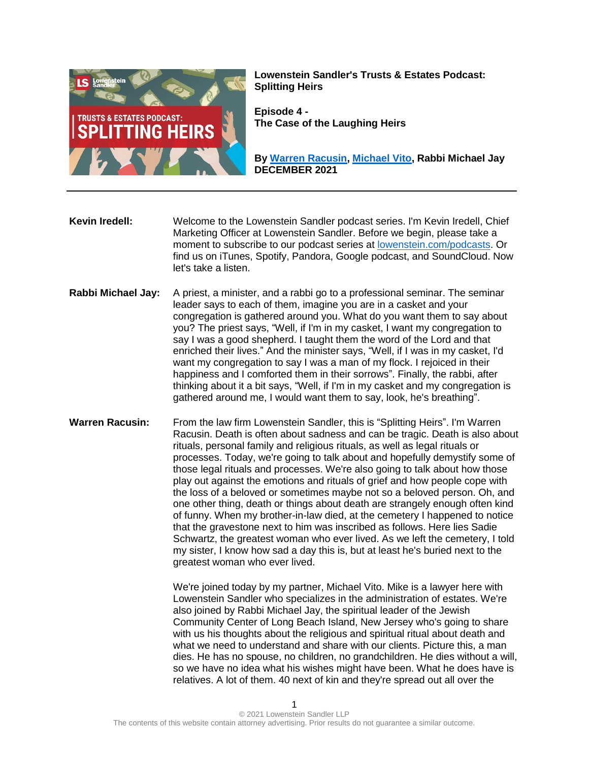

**Lowenstein Sandler's Trusts & Estates Podcast: Splitting Heirs**

**Episode 4 - The Case of the Laughing Heirs**

**By [Warren Racusin,](https://www.lowenstein.com/people/attorneys/warren-racusin) [Michael Vito,](https://www.lowenstein.com/people/attorneys/michael-vito) Rabbi Michael Jay DECEMBER 2021**

**Kevin Iredell:** Welcome to the Lowenstein Sandler podcast series. I'm Kevin Iredell, Chief Marketing Officer at Lowenstein Sandler. Before we begin, please take a moment to subscribe to our podcast series at [lowenstein.com/podcasts.](https://www.lowenstein.com/podcasts) Or find us on iTunes, Spotify, Pandora, Google podcast, and SoundCloud. Now let's take a listen.

- **Rabbi Michael Jay:** A priest, a minister, and a rabbi go to a professional seminar. The seminar leader says to each of them, imagine you are in a casket and your congregation is gathered around you. What do you want them to say about you? The priest says, "Well, if I'm in my casket, I want my congregation to say I was a good shepherd. I taught them the word of the Lord and that enriched their lives." And the minister says, "Well, if I was in my casket, I'd want my congregation to say I was a man of my flock. I rejoiced in their happiness and I comforted them in their sorrows". Finally, the rabbi, after thinking about it a bit says, "Well, if I'm in my casket and my congregation is gathered around me, I would want them to say, look, he's breathing".
- **Warren Racusin:** From the law firm Lowenstein Sandler, this is "Splitting Heirs". I'm Warren Racusin. Death is often about sadness and can be tragic. Death is also about rituals, personal family and religious rituals, as well as legal rituals or processes. Today, we're going to talk about and hopefully demystify some of those legal rituals and processes. We're also going to talk about how those play out against the emotions and rituals of grief and how people cope with the loss of a beloved or sometimes maybe not so a beloved person. Oh, and one other thing, death or things about death are strangely enough often kind of funny. When my brother-in-law died, at the cemetery I happened to notice that the gravestone next to him was inscribed as follows. Here lies Sadie Schwartz, the greatest woman who ever lived. As we left the cemetery, I told my sister, I know how sad a day this is, but at least he's buried next to the greatest woman who ever lived.

We're joined today by my partner, Michael Vito. Mike is a lawyer here with Lowenstein Sandler who specializes in the administration of estates. We're also joined by Rabbi Michael Jay, the spiritual leader of the Jewish Community Center of Long Beach Island, New Jersey who's going to share with us his thoughts about the religious and spiritual ritual about death and what we need to understand and share with our clients. Picture this, a man dies. He has no spouse, no children, no grandchildren. He dies without a will, so we have no idea what his wishes might have been. What he does have is relatives. A lot of them. 40 next of kin and they're spread out all over the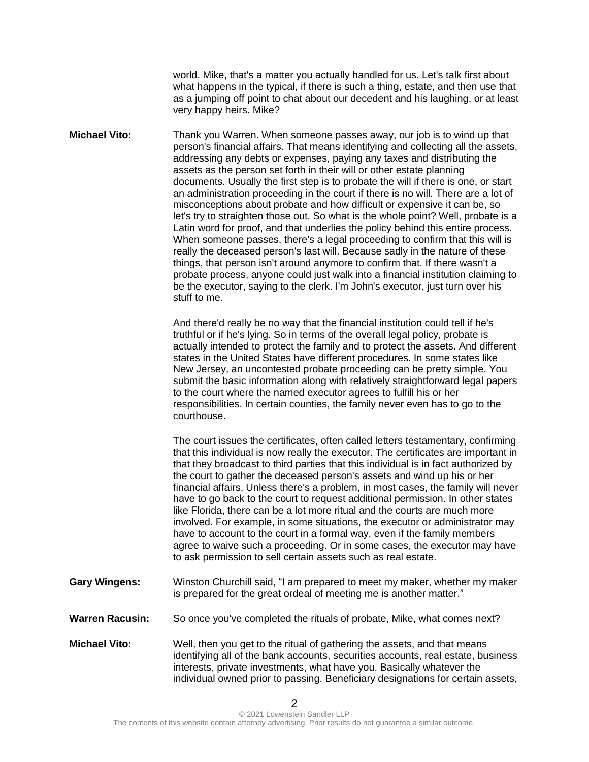world. Mike, that's a matter you actually handled for us. Let's talk first about what happens in the typical, if there is such a thing, estate, and then use that as a jumping off point to chat about our decedent and his laughing, or at least very happy heirs. Mike?

**Michael Vito:** Thank you Warren. When someone passes away, our job is to wind up that person's financial affairs. That means identifying and collecting all the assets, addressing any debts or expenses, paying any taxes and distributing the assets as the person set forth in their will or other estate planning documents. Usually the first step is to probate the will if there is one, or start an administration proceeding in the court if there is no will. There are a lot of misconceptions about probate and how difficult or expensive it can be, so let's try to straighten those out. So what is the whole point? Well, probate is a Latin word for proof, and that underlies the policy behind this entire process. When someone passes, there's a legal proceeding to confirm that this will is really the deceased person's last will. Because sadly in the nature of these things, that person isn't around anymore to confirm that. If there wasn't a probate process, anyone could just walk into a financial institution claiming to be the executor, saying to the clerk. I'm John's executor, just turn over his stuff to me.

> And there'd really be no way that the financial institution could tell if he's truthful or if he's lying. So in terms of the overall legal policy, probate is actually intended to protect the family and to protect the assets. And different states in the United States have different procedures. In some states like New Jersey, an uncontested probate proceeding can be pretty simple. You submit the basic information along with relatively straightforward legal papers to the court where the named executor agrees to fulfill his or her responsibilities. In certain counties, the family never even has to go to the courthouse.

> The court issues the certificates, often called letters testamentary, confirming that this individual is now really the executor. The certificates are important in that they broadcast to third parties that this individual is in fact authorized by the court to gather the deceased person's assets and wind up his or her financial affairs. Unless there's a problem, in most cases, the family will never have to go back to the court to request additional permission. In other states like Florida, there can be a lot more ritual and the courts are much more involved. For example, in some situations, the executor or administrator may have to account to the court in a formal way, even if the family members agree to waive such a proceeding. Or in some cases, the executor may have to ask permission to sell certain assets such as real estate.

- **Gary Wingens:** Winston Churchill said, "I am prepared to meet my maker, whether my maker is prepared for the great ordeal of meeting me is another matter."
- **Warren Racusin:** So once you've completed the rituals of probate, Mike, what comes next?
- **Michael Vito:** Well, then you get to the ritual of gathering the assets, and that means identifying all of the bank accounts, securities accounts, real estate, business interests, private investments, what have you. Basically whatever the individual owned prior to passing. Beneficiary designations for certain assets,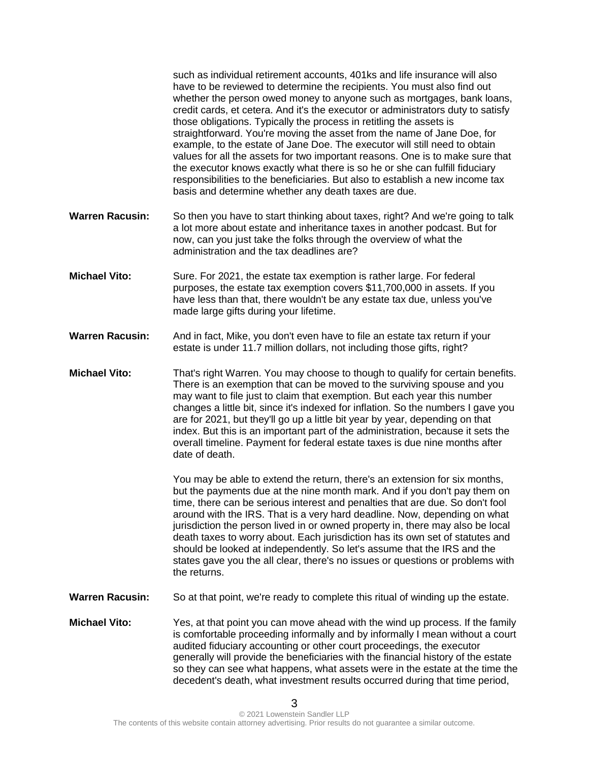|                        | such as individual retirement accounts, 401ks and life insurance will also<br>have to be reviewed to determine the recipients. You must also find out<br>whether the person owed money to anyone such as mortgages, bank loans,<br>credit cards, et cetera. And it's the executor or administrators duty to satisfy<br>those obligations. Typically the process in retitling the assets is<br>straightforward. You're moving the asset from the name of Jane Doe, for<br>example, to the estate of Jane Doe. The executor will still need to obtain<br>values for all the assets for two important reasons. One is to make sure that<br>the executor knows exactly what there is so he or she can fulfill fiduciary<br>responsibilities to the beneficiaries. But also to establish a new income tax<br>basis and determine whether any death taxes are due. |
|------------------------|--------------------------------------------------------------------------------------------------------------------------------------------------------------------------------------------------------------------------------------------------------------------------------------------------------------------------------------------------------------------------------------------------------------------------------------------------------------------------------------------------------------------------------------------------------------------------------------------------------------------------------------------------------------------------------------------------------------------------------------------------------------------------------------------------------------------------------------------------------------|
| <b>Warren Racusin:</b> | So then you have to start thinking about taxes, right? And we're going to talk<br>a lot more about estate and inheritance taxes in another podcast. But for<br>now, can you just take the folks through the overview of what the<br>administration and the tax deadlines are?                                                                                                                                                                                                                                                                                                                                                                                                                                                                                                                                                                                |
| <b>Michael Vito:</b>   | Sure. For 2021, the estate tax exemption is rather large. For federal<br>purposes, the estate tax exemption covers \$11,700,000 in assets. If you<br>have less than that, there wouldn't be any estate tax due, unless you've<br>made large gifts during your lifetime.                                                                                                                                                                                                                                                                                                                                                                                                                                                                                                                                                                                      |
| <b>Warren Racusin:</b> | And in fact, Mike, you don't even have to file an estate tax return if your<br>estate is under 11.7 million dollars, not including those gifts, right?                                                                                                                                                                                                                                                                                                                                                                                                                                                                                                                                                                                                                                                                                                       |
| <b>Michael Vito:</b>   | That's right Warren. You may choose to though to qualify for certain benefits.<br>There is an exemption that can be moved to the surviving spouse and you<br>may want to file just to claim that exemption. But each year this number<br>changes a little bit, since it's indexed for inflation. So the numbers I gave you<br>are for 2021, but they'll go up a little bit year by year, depending on that<br>index. But this is an important part of the administration, because it sets the<br>overall timeline. Payment for federal estate taxes is due nine months after<br>date of death.                                                                                                                                                                                                                                                               |
|                        | You may be able to extend the return, there's an extension for six months,<br>but the payments due at the nine month mark. And if you don't pay them on<br>time, there can be serious interest and penalties that are due. So don't fool<br>around with the IRS. That is a very hard deadline. Now, depending on what<br>jurisdiction the person lived in or owned property in, there may also be local<br>death taxes to worry about. Each jurisdiction has its own set of statutes and<br>should be looked at independently. So let's assume that the IRS and the<br>states gave you the all clear, there's no issues or questions or problems with<br>the returns.                                                                                                                                                                                        |
| <b>Warren Racusin:</b> | So at that point, we're ready to complete this ritual of winding up the estate.                                                                                                                                                                                                                                                                                                                                                                                                                                                                                                                                                                                                                                                                                                                                                                              |
| <b>Michael Vito:</b>   | Yes, at that point you can move ahead with the wind up process. If the family<br>is comfortable proceeding informally and by informally I mean without a court<br>audited fiduciary accounting or other court proceedings, the executor<br>generally will provide the beneficiaries with the financial history of the estate<br>so they can see what happens, what assets were in the estate at the time the<br>decedent's death, what investment results occurred during that time period,                                                                                                                                                                                                                                                                                                                                                                  |
| 3                      |                                                                                                                                                                                                                                                                                                                                                                                                                                                                                                                                                                                                                                                                                                                                                                                                                                                              |

3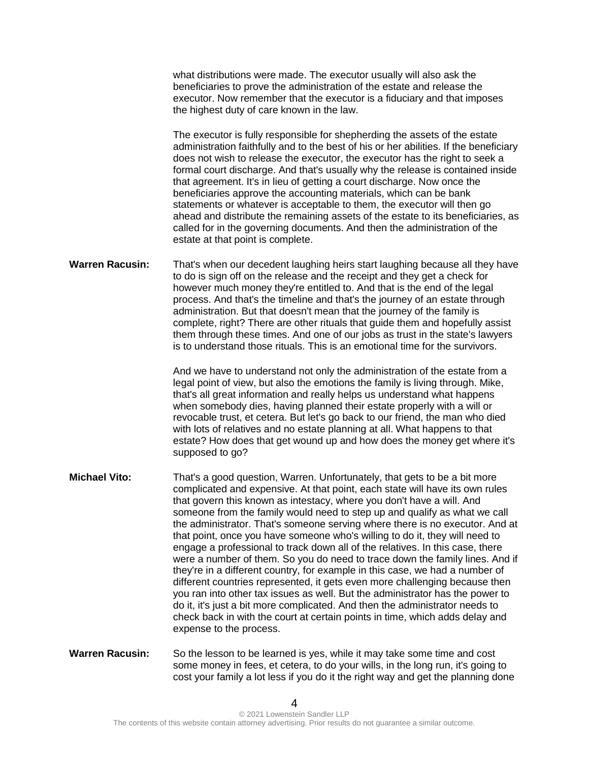what distributions were made. The executor usually will also ask the beneficiaries to prove the administration of the estate and release the executor. Now remember that the executor is a fiduciary and that imposes the highest duty of care known in the law.

The executor is fully responsible for shepherding the assets of the estate administration faithfully and to the best of his or her abilities. If the beneficiary does not wish to release the executor, the executor has the right to seek a formal court discharge. And that's usually why the release is contained inside that agreement. It's in lieu of getting a court discharge. Now once the beneficiaries approve the accounting materials, which can be bank statements or whatever is acceptable to them, the executor will then go ahead and distribute the remaining assets of the estate to its beneficiaries, as called for in the governing documents. And then the administration of the estate at that point is complete.

**Warren Racusin:** That's when our decedent laughing heirs start laughing because all they have to do is sign off on the release and the receipt and they get a check for however much money they're entitled to. And that is the end of the legal process. And that's the timeline and that's the journey of an estate through administration. But that doesn't mean that the journey of the family is complete, right? There are other rituals that guide them and hopefully assist them through these times. And one of our jobs as trust in the state's lawyers is to understand those rituals. This is an emotional time for the survivors.

> And we have to understand not only the administration of the estate from a legal point of view, but also the emotions the family is living through. Mike, that's all great information and really helps us understand what happens when somebody dies, having planned their estate properly with a will or revocable trust, et cetera. But let's go back to our friend, the man who died with lots of relatives and no estate planning at all. What happens to that estate? How does that get wound up and how does the money get where it's supposed to go?

- **Michael Vito:** That's a good question, Warren. Unfortunately, that gets to be a bit more complicated and expensive. At that point, each state will have its own rules that govern this known as intestacy, where you don't have a will. And someone from the family would need to step up and qualify as what we call the administrator. That's someone serving where there is no executor. And at that point, once you have someone who's willing to do it, they will need to engage a professional to track down all of the relatives. In this case, there were a number of them. So you do need to trace down the family lines. And if they're in a different country, for example in this case, we had a number of different countries represented, it gets even more challenging because then you ran into other tax issues as well. But the administrator has the power to do it, it's just a bit more complicated. And then the administrator needs to check back in with the court at certain points in time, which adds delay and expense to the process.
- **Warren Racusin:** So the lesson to be learned is yes, while it may take some time and cost some money in fees, et cetera, to do your wills, in the long run, it's going to cost your family a lot less if you do it the right way and get the planning done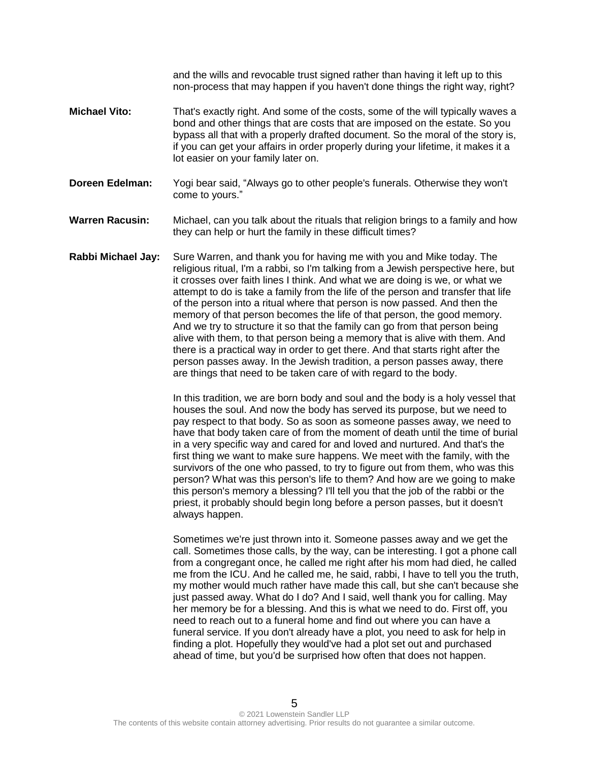and the wills and revocable trust signed rather than having it left up to this non-process that may happen if you haven't done things the right way, right?

- **Michael Vito:** That's exactly right. And some of the costs, some of the will typically waves a bond and other things that are costs that are imposed on the estate. So you bypass all that with a properly drafted document. So the moral of the story is, if you can get your affairs in order properly during your lifetime, it makes it a lot easier on your family later on.
- **Doreen Edelman:** Yogi bear said, "Always go to other people's funerals. Otherwise they won't come to yours."
- **Warren Racusin:** Michael, can you talk about the rituals that religion brings to a family and how they can help or hurt the family in these difficult times?
- **Rabbi Michael Jay:** Sure Warren, and thank you for having me with you and Mike today. The religious ritual, I'm a rabbi, so I'm talking from a Jewish perspective here, but it crosses over faith lines I think. And what we are doing is we, or what we attempt to do is take a family from the life of the person and transfer that life of the person into a ritual where that person is now passed. And then the memory of that person becomes the life of that person, the good memory. And we try to structure it so that the family can go from that person being alive with them, to that person being a memory that is alive with them. And there is a practical way in order to get there. And that starts right after the person passes away. In the Jewish tradition, a person passes away, there are things that need to be taken care of with regard to the body.

In this tradition, we are born body and soul and the body is a holy vessel that houses the soul. And now the body has served its purpose, but we need to pay respect to that body. So as soon as someone passes away, we need to have that body taken care of from the moment of death until the time of burial in a very specific way and cared for and loved and nurtured. And that's the first thing we want to make sure happens. We meet with the family, with the survivors of the one who passed, to try to figure out from them, who was this person? What was this person's life to them? And how are we going to make this person's memory a blessing? I'll tell you that the job of the rabbi or the priest, it probably should begin long before a person passes, but it doesn't always happen.

Sometimes we're just thrown into it. Someone passes away and we get the call. Sometimes those calls, by the way, can be interesting. I got a phone call from a congregant once, he called me right after his mom had died, he called me from the ICU. And he called me, he said, rabbi, I have to tell you the truth, my mother would much rather have made this call, but she can't because she just passed away. What do I do? And I said, well thank you for calling. May her memory be for a blessing. And this is what we need to do. First off, you need to reach out to a funeral home and find out where you can have a funeral service. If you don't already have a plot, you need to ask for help in finding a plot. Hopefully they would've had a plot set out and purchased ahead of time, but you'd be surprised how often that does not happen.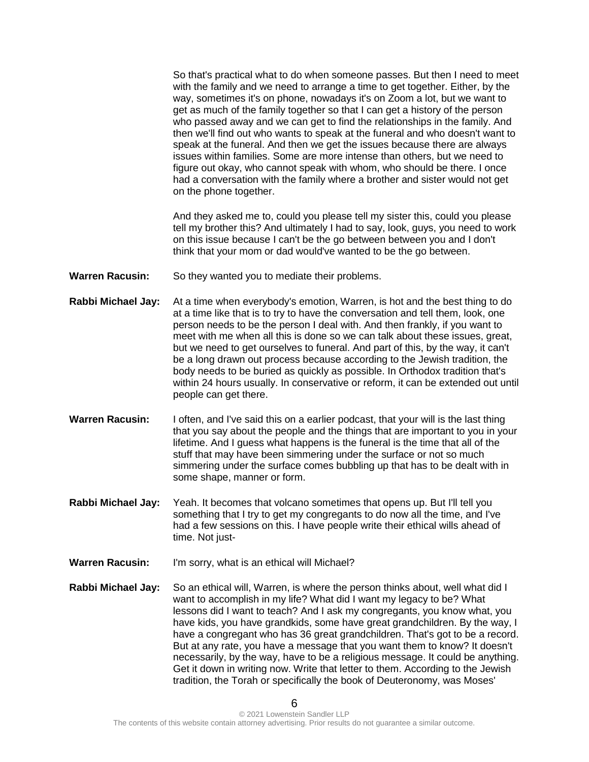So that's practical what to do when someone passes. But then I need to meet with the family and we need to arrange a time to get together. Either, by the way, sometimes it's on phone, nowadays it's on Zoom a lot, but we want to get as much of the family together so that I can get a history of the person who passed away and we can get to find the relationships in the family. And then we'll find out who wants to speak at the funeral and who doesn't want to speak at the funeral. And then we get the issues because there are always issues within families. Some are more intense than others, but we need to figure out okay, who cannot speak with whom, who should be there. I once had a conversation with the family where a brother and sister would not get on the phone together.

And they asked me to, could you please tell my sister this, could you please tell my brother this? And ultimately I had to say, look, guys, you need to work on this issue because I can't be the go between between you and I don't think that your mom or dad would've wanted to be the go between.

- **Warren Racusin:** So they wanted you to mediate their problems.
- **Rabbi Michael Jay:** At a time when everybody's emotion, Warren, is hot and the best thing to do at a time like that is to try to have the conversation and tell them, look, one person needs to be the person I deal with. And then frankly, if you want to meet with me when all this is done so we can talk about these issues, great, but we need to get ourselves to funeral. And part of this, by the way, it can't be a long drawn out process because according to the Jewish tradition, the body needs to be buried as quickly as possible. In Orthodox tradition that's within 24 hours usually. In conservative or reform, it can be extended out until people can get there.
- **Warren Racusin:** I often, and I've said this on a earlier podcast, that your will is the last thing that you say about the people and the things that are important to you in your lifetime. And I guess what happens is the funeral is the time that all of the stuff that may have been simmering under the surface or not so much simmering under the surface comes bubbling up that has to be dealt with in some shape, manner or form.
- **Rabbi Michael Jay:** Yeah. It becomes that volcano sometimes that opens up. But I'll tell you something that I try to get my congregants to do now all the time, and I've had a few sessions on this. I have people write their ethical wills ahead of time. Not just-
- **Warren Racusin:** I'm sorry, what is an ethical will Michael?
- **Rabbi Michael Jay:** So an ethical will, Warren, is where the person thinks about, well what did I want to accomplish in my life? What did I want my legacy to be? What lessons did I want to teach? And I ask my congregants, you know what, you have kids, you have grandkids, some have great grandchildren. By the way, I have a congregant who has 36 great grandchildren. That's got to be a record. But at any rate, you have a message that you want them to know? It doesn't necessarily, by the way, have to be a religious message. It could be anything. Get it down in writing now. Write that letter to them. According to the Jewish tradition, the Torah or specifically the book of Deuteronomy, was Moses'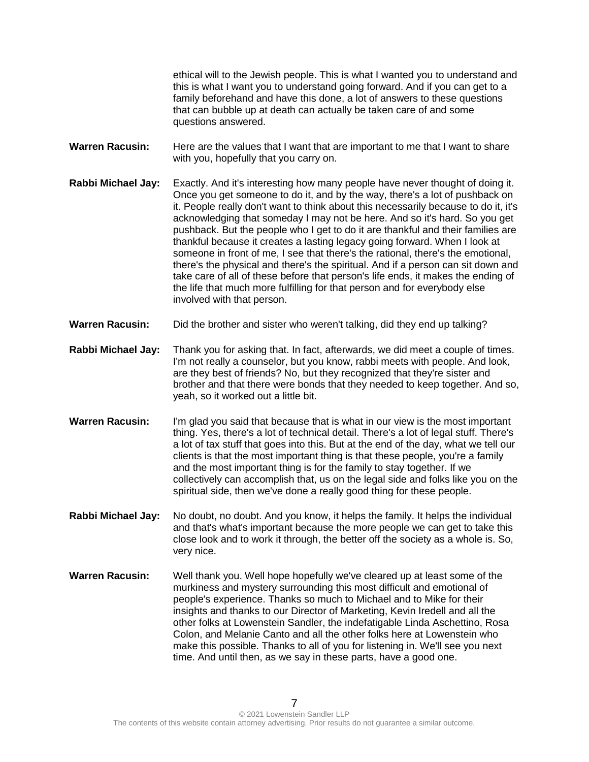ethical will to the Jewish people. This is what I wanted you to understand and this is what I want you to understand going forward. And if you can get to a family beforehand and have this done, a lot of answers to these questions that can bubble up at death can actually be taken care of and some questions answered.

**Warren Racusin:** Here are the values that I want that are important to me that I want to share with you, hopefully that you carry on.

- **Rabbi Michael Jay:** Exactly. And it's interesting how many people have never thought of doing it. Once you get someone to do it, and by the way, there's a lot of pushback on it. People really don't want to think about this necessarily because to do it, it's acknowledging that someday I may not be here. And so it's hard. So you get pushback. But the people who I get to do it are thankful and their families are thankful because it creates a lasting legacy going forward. When I look at someone in front of me, I see that there's the rational, there's the emotional, there's the physical and there's the spiritual. And if a person can sit down and take care of all of these before that person's life ends, it makes the ending of the life that much more fulfilling for that person and for everybody else involved with that person.
- **Warren Racusin:** Did the brother and sister who weren't talking, did they end up talking?
- **Rabbi Michael Jay:** Thank you for asking that. In fact, afterwards, we did meet a couple of times. I'm not really a counselor, but you know, rabbi meets with people. And look, are they best of friends? No, but they recognized that they're sister and brother and that there were bonds that they needed to keep together. And so, yeah, so it worked out a little bit.
- **Warren Racusin:** I'm glad you said that because that is what in our view is the most important thing. Yes, there's a lot of technical detail. There's a lot of legal stuff. There's a lot of tax stuff that goes into this. But at the end of the day, what we tell our clients is that the most important thing is that these people, you're a family and the most important thing is for the family to stay together. If we collectively can accomplish that, us on the legal side and folks like you on the spiritual side, then we've done a really good thing for these people.
- **Rabbi Michael Jay:** No doubt, no doubt. And you know, it helps the family. It helps the individual and that's what's important because the more people we can get to take this close look and to work it through, the better off the society as a whole is. So, very nice.
- **Warren Racusin:** Well thank you. Well hope hopefully we've cleared up at least some of the murkiness and mystery surrounding this most difficult and emotional of people's experience. Thanks so much to Michael and to Mike for their insights and thanks to our Director of Marketing, Kevin Iredell and all the other folks at Lowenstein Sandler, the indefatigable Linda Aschettino, Rosa Colon, and Melanie Canto and all the other folks here at Lowenstein who make this possible. Thanks to all of you for listening in. We'll see you next time. And until then, as we say in these parts, have a good one.